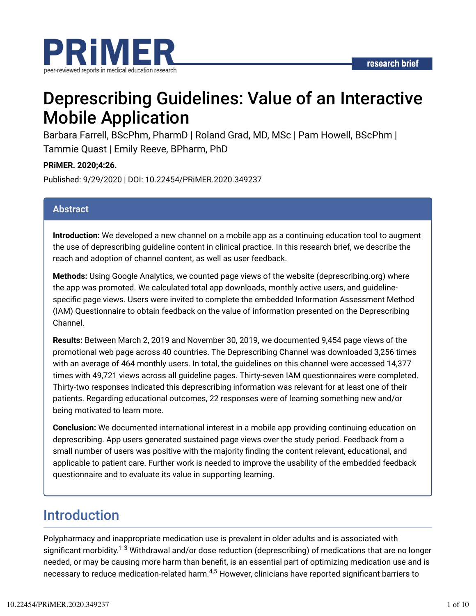

# Deprescribing Guidelines: Value of an Interactive Mobile Application

Barbara Farrell, BScPhm, PharmD | Roland Grad, MD, MSc | Pam Howell, BScPhm | Tammie Quast | Emily Reeve, BPharm, PhD

### **PRiMER. 2020;4:26.**

Published: 9/29/2020 | DOI: 10.22454/PRiMER.2020.349237

### **Abstract**

**Introduction:** We developed a new channel on a mobile app as a continuing education tool to augment the use of deprescribing guideline content in clinical practice. In this research brief, we describe the reach and adoption of channel content, as well as user feedback.

**Methods:** Using Google Analytics, we counted page views of the website (deprescribing.org) where the app was promoted. We calculated total app downloads, monthly active users, and guidelinespecific page views. Users were invited to complete the embedded Information Assessment Method (IAM) Questionnaire to obtain feedback on the value of information presented on the Deprescribing Channel.

**Results:** Between March 2, 2019 and November 30, 2019, we documented 9,454 page views of the promotional web page across 40 countries. The Deprescribing Channel was downloaded 3,256 times with an average of 464 monthly users. In total, the guidelines on this channel were accessed 14,377 times with 49,721 views across all guideline pages. Thirty-seven IAM questionnaires were completed. Thirty-two responses indicated this deprescribing information was relevant for at least one of their patients. Regarding educational outcomes, 22 responses were of learning something new and/or being motivated to learn more.

**Conclusion:** We documented international interest in a mobile app providing continuing education on deprescribing. App users generated sustained page views over the study period. Feedback from a small number of users was positive with the majority finding the content relevant, educational, and applicable to patient care. Further work is needed to improve the usability of the embedded feedback questionnaire and to evaluate its value in supporting learning.

# Introduction

Polypharmacy and inappropriate medication use is prevalent in older adults and is associated with significant morbidity.<sup>1-3</sup> Withdrawal and/or dose reduction (deprescribing) of medications that are no longer needed, or may be causing more harm than benefit, is an essential part of optimizing medication use and is necessary to reduce medication-related harm. $^{4,5}$  However, clinicians have reported significant barriers to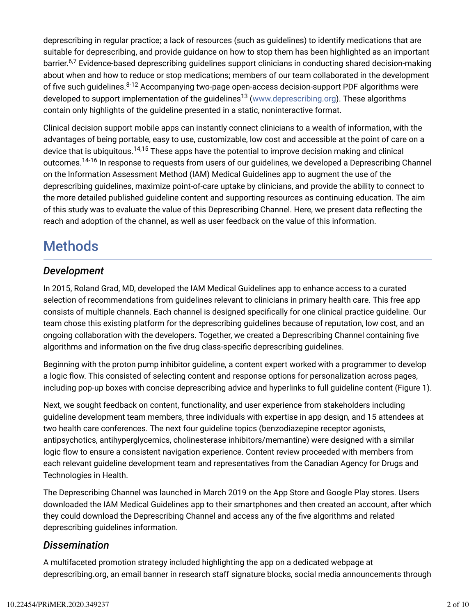deprescribing in regular practice; a lack of resources (such as guidelines) to identify medications that are suitable for deprescribing, and provide guidance on how to stop them has been highlighted as an important barrier.<sup>6,7</sup> Evidence-based deprescribing guidelines support clinicians in conducting shared decision-making about when and how to reduce or stop medications; members of our team collaborated in the development of five such guidelines.<sup>8-12</sup> Accompanying two-page open-access decision-support PDF algorithms were developed to support implementation of the guidelines<sup>13</sup> (www.deprescribing.org). These algorithms contain only highlights of the guideline presented in a static, noninteractive format.

Clinical decision support mobile apps can instantly connect clinicians to a wealth of information, with the advantages of being portable, easy to use, customizable, low cost and accessible at the point of care on a device that is ubiquitous.<sup>14,15</sup> These apps have the potential to improve decision making and clinical outcomes.<sup>14-16</sup> In response to requests from users of our guidelines, we developed a Deprescribing Channel on the Information Assessment Method (IAM) Medical Guidelines app to augment the use of the deprescribing guidelines, maximize point-of-care uptake by clinicians, and provide the ability to connect to the more detailed published guideline content and supporting resources as continuing education. The aim of this study was to evaluate the value of this Deprescribing Channel. Here, we present data reflecting the reach and adoption of the channel, as well as user feedback on the value of this information.

# Methods

## *Development*

In 2015, Roland Grad, MD, developed the IAM Medical Guidelines app to enhance access to a curated selection of recommendations from guidelines relevant to clinicians in primary health care. This free app consists of multiple channels. Each channel is designed specifically for one clinical practice guideline. Our team chose this existing platform for the deprescribing guidelines because of reputation, low cost, and an ongoing collaboration with the developers. Together, we created a Deprescribing Channel containing five algorithms and information on the five drug class-specific deprescribing guidelines.

Beginning with the proton pump inhibitor guideline, a content expert worked with a programmer to develop a logic flow. This consisted of selecting content and response options for personalization across pages, including pop-up boxes with concise deprescribing advice and hyperlinks to full guideline content (Figure 1).

Next, we sought feedback on content, functionality, and user experience from stakeholders including guideline development team members, three individuals with expertise in app design, and 15 attendees at two health care conferences. The next four guideline topics (benzodiazepine receptor agonists, antipsychotics, antihyperglycemics, cholinesterase inhibitors/memantine) were designed with a similar logic flow to ensure a consistent navigation experience. Content review proceeded with members from each relevant guideline development team and representatives from the Canadian Agency for Drugs and Technologies in Health.

The Deprescribing Channel was launched in March 2019 on the App Store and Google Play stores. Users downloaded the IAM Medical Guidelines app to their smartphones and then created an account, after which they could download the Deprescribing Channel and access any of the five algorithms and related deprescribing guidelines information.

## *Dissemination*

A multifaceted promotion strategy included highlighting the app on a dedicated webpage at deprescribing.org, an email banner in research staff signature blocks, social media announcements through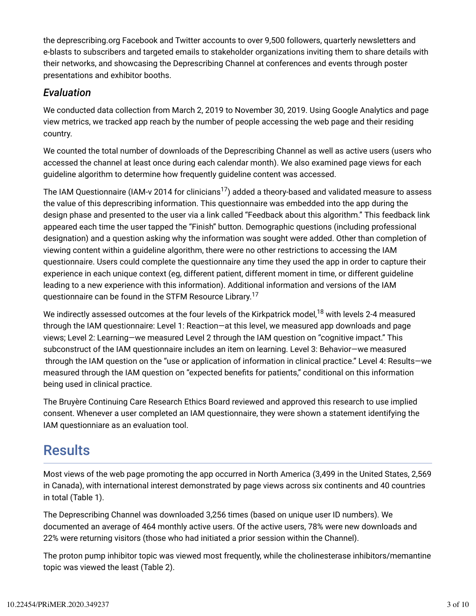the deprescribing.org Facebook and Twitter accounts to over 9,500 followers, quarterly newsletters and e-blasts to subscribers and targeted emails to stakeholder organizations inviting them to share details with their networks, and showcasing the Deprescribing Channel at conferences and events through poster presentations and exhibitor booths.

### *Evaluation*

We conducted data collection from March 2, 2019 to November 30, 2019. Using Google Analytics and page view metrics, we tracked app reach by the number of people accessing the web page and their residing country.

We counted the total number of downloads of the Deprescribing Channel as well as active users (users who accessed the channel at least once during each calendar month). We also examined page views for each guideline algorithm to determine how frequently guideline content was accessed.

The IAM Questionnaire (IAM-v 2014 for clinicians $^{17}$ ) added a theory-based and validated measure to assess the value of this deprescribing information. This questionnaire was embedded into the app during the design phase and presented to the user via a link called "Feedback about this algorithm." This feedback link appeared each time the user tapped the "Finish" button. Demographic questions (including professional designation) and a question asking why the information was sought were added. Other than completion of viewing content within a guideline algorithm, there were no other restrictions to accessing the IAM questionnaire. Users could complete the questionnaire any time they used the app in order to capture their experience in each unique context (eg, different patient, different moment in time, or different guideline leading to a new experience with this information). Additional information and versions of the IAM questionnaire can be found in the STFM Resource Library.<sup>17</sup>

We indirectly assessed outcomes at the four levels of the Kirkpatrick model, $^{18}$  with levels 2-4 measured through the IAM questionnaire: Level 1: Reaction—at this level, we measured app downloads and page views; Level 2: Learning—we measured Level 2 through the IAM question on "cognitive impact." This subconstruct of the IAM questionnaire includes an item on learning. Level 3: Behavior—we measured through the IAM question on the "use or application of information in clinical practice." Level 4: Results—we measured through the IAM question on "expected benefits for patients," conditional on this information being used in clinical practice.

The Bruyère Continuing Care Research Ethics Board reviewed and approved this research to use implied consent. Whenever a user completed an IAM questionnaire, they were shown a statement identifying the IAM questionniare as an evaluation tool.

# **Results**

Most views of the web page promoting the app occurred in North America (3,499 in the United States, 2,569 in Canada), with international interest demonstrated by page views across six continents and 40 countries in total (Table 1).

The Deprescribing Channel was downloaded 3,256 times (based on unique user ID numbers). We documented an average of 464 monthly active users. Of the active users, 78% were new downloads and 22% were returning visitors (those who had initiated a prior session within the Channel).

The proton pump inhibitor topic was viewed most frequently, while the cholinesterase inhibitors/memantine topic was viewed the least (Table 2).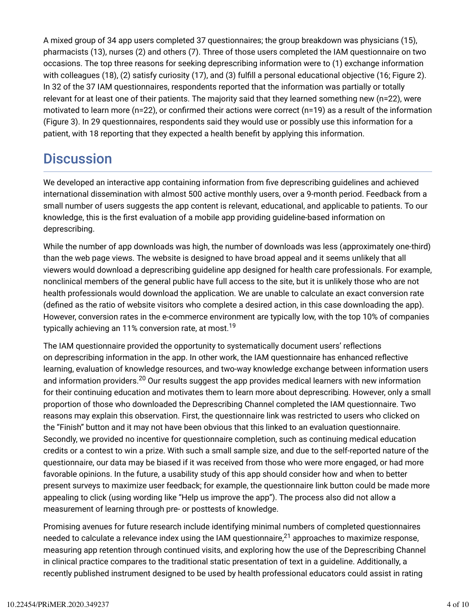A mixed group of 34 app users completed 37 questionnaires; the group breakdown was physicians (15), pharmacists (13), nurses (2) and others (7). Three of those users completed the IAM questionnaire on two occasions. The top three reasons for seeking deprescribing information were to (1) exchange information with colleagues (18), (2) satisfy curiosity (17), and (3) fulfill a personal educational objective (16; Figure 2). In 32 of the 37 IAM questionnaires, respondents reported that the information was partially or totally relevant for at least one of their patients. The majority said that they learned something new (n=22), were motivated to learn more ( $n=22$ ), or confirmed their actions were correct ( $n=19$ ) as a result of the information (Figure 3). In 29 questionnaires, respondents said they would use or possibly use this information for a patient, with 18 reporting that they expected a health benefit by applying this information.

# **Discussion**

We developed an interactive app containing information from five deprescribing guidelines and achieved international dissemination with almost 500 active monthly users, over a 9-month period. Feedback from a small number of users suggests the app content is relevant, educational, and applicable to patients. To our knowledge, this is the first evaluation of a mobile app providing guideline-based information on deprescribing.

While the number of app downloads was high, the number of downloads was less (approximately one-third) than the web page views. The website is designed to have broad appeal and it seems unlikely that all viewers would download a deprescribing guideline app designed for health care professionals. For example, nonclinical members of the general public have full access to the site, but it is unlikely those who are not health professionals would download the application. We are unable to calculate an exact conversion rate (defined as the ratio of website visitors who complete a desired action, in this case downloading the app). However, conversion rates in the e-commerce environment are typically low, with the top 10% of companies typically achieving an 11% conversion rate, at most.<sup>19</sup>

The IAM questionnaire provided the opportunity to systematically document users' reflections on deprescribing information in the app. In other work, the IAM questionnaire has enhanced reflective learning, evaluation of knowledge resources, and two-way knowledge exchange between information users and information providers.<sup>20</sup> Our results suggest the app provides medical learners with new information for their continuing education and motivates them to learn more about deprescribing. However, only a small proportion of those who downloaded the Deprescribing Channel completed the IAM questionnaire. Two reasons may explain this observation. First, the questionnaire link was restricted to users who clicked on the "Finish" button and it may not have been obvious that this linked to an evaluation questionnaire. Secondly, we provided no incentive for questionnaire completion, such as continuing medical education credits or a contest to win a prize. With such a small sample size, and due to the self-reported nature of the questionnaire, our data may be biased if it was received from those who were more engaged, or had more favorable opinions. In the future, a usability study of this app should consider how and when to better present surveys to maximize user feedback; for example, the questionnaire link button could be made more appealing to click (using wording like "Help us improve the app"). The process also did not allow a measurement of learning through pre- or posttests of knowledge.

Promising avenues for future research include identifying minimal numbers of completed questionnaires needed to calculate a relevance index using the IAM questionnaire, $^{21}$  approaches to maximize response, measuring app retention through continued visits, and exploring how the use of the Deprescribing Channel in clinical practice compares to the traditional static presentation of text in a guideline. Additionally, a recently published instrument designed to be used by health professional educators could assist in rating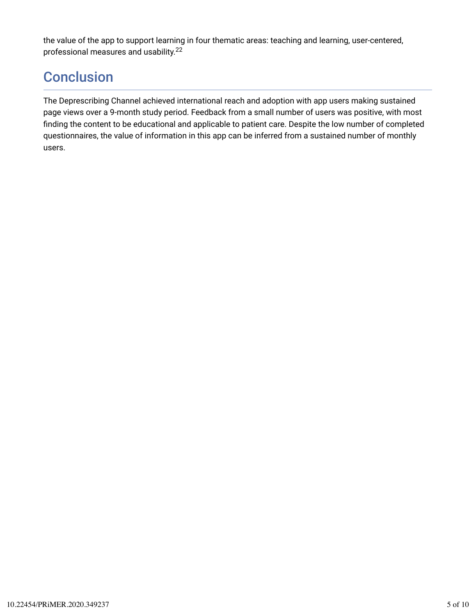the value of the app to support learning in four thematic areas: teaching and learning, user-centered, professional measures and usability. 22

# **Conclusion**

The Deprescribing Channel achieved international reach and adoption with app users making sustained page views over a 9-month study period. Feedback from a small number of users was positive, with most finding the content to be educational and applicable to patient care. Despite the low number of completed questionnaires, the value of information in this app can be inferred from a sustained number of monthly users.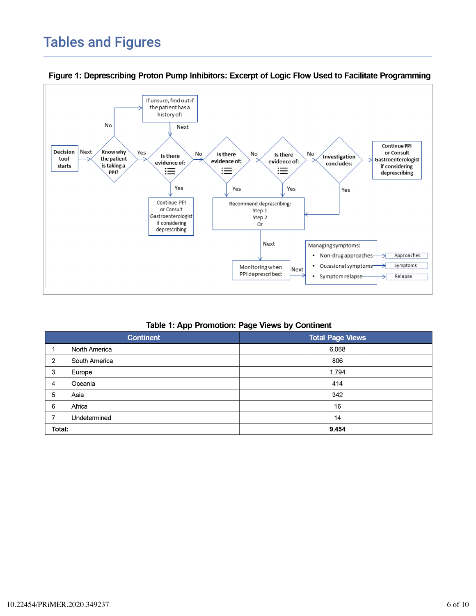# Tables and Figures



Figure 1: Deprescribing Proton Pump Inhibitors: Excerpt of Logic Flow Used to Facilitate Programming

#### Table 1: App Promotion: Page Views by Continent

| <b>Continent</b> |               | <b>Total Page Views</b> |
|------------------|---------------|-------------------------|
|                  | North America | 6,068                   |
| 2                | South America | 806                     |
| 3                | Europe        | 1,794                   |
| 4                | Oceania       | 414                     |
| 5                | Asia          | 342                     |
| 6                | Africa        | 16                      |
|                  | Undetermined  | 14                      |
| Total:           |               | 9,454                   |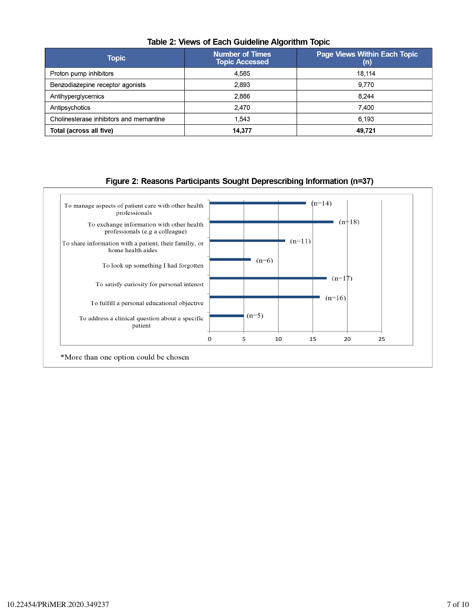| Topic                                   | <b>Number of Times</b><br><b>Topic Accessed</b> | <b>Page Views Within Each Topic</b><br>(n) |
|-----------------------------------------|-------------------------------------------------|--------------------------------------------|
| Proton pump inhibitors                  | 4,585                                           | 18,114                                     |
| Benzodiazepine receptor agonists        | 2,893                                           | 9.770                                      |
| Antihyperglycemics                      | 2.886                                           | 8.244                                      |
| Antipsychotics                          | 2,470                                           | 7.400                                      |
| Cholinesterase inhibitors and memantine | 1.543                                           | 6.193                                      |
| Total (across all five)                 | 14,377                                          | 49,721                                     |

#### Table 2: Views of Each Guideline Algorithm Topic

#### Figure 2: Reasons Participants Sought Deprescribing Information (n=37)

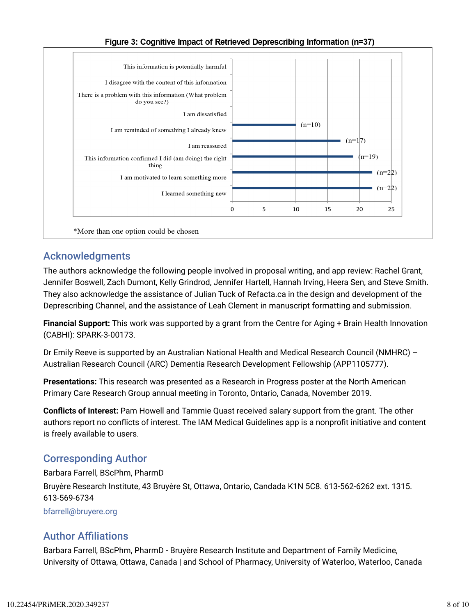

### Figure 3: Cognitive Impact of Retrieved Deprescribing Information (n=37)

## Acknowledgments

The authors acknowledge the following people involved in proposal writing, and app review: Rachel Grant, Jennifer Boswell, Zach Dumont, Kelly Grindrod, Jennifer Hartell, Hannah Irving, Heera Sen, and Steve Smith. They also acknowledge the assistance of Julian Tuck of Refacta.ca in the design and development of the Deprescribing Channel, and the assistance of Leah Clement in manuscript formatting and submission.

**Financial Support:** This work was supported by a grant from the Centre for Aging + Brain Health Innovation (CABHI): SPARK-3-00173.

Dr Emily Reeve is supported by an Australian National Health and Medical Research Council (NMHRC) – Australian Research Council (ARC) Dementia Research Development Fellowship (APP1105777).

**Presentations:** This research was presented as a Research in Progress poster at the North American Primary Care Research Group annual meeting in Toronto, Ontario, Canada, November 2019.

**ConAicts of Interest:** Pam Howell and Tammie Quast received salary support from the grant. The other authors report no conflicts of interest. The IAM Medical Guidelines app is a nonprofit initiative and content is freely available to users.

## Corresponding Author

Barbara Farrell, BScPhm, PharmD Bruyère Research Institute, 43 Bruyère St, Ottawa, Ontario, Candada K1N 5C8. 613-562-6262 ext. 1315. 613-569-6734 bfarrell@bruyere.org

## **Author Affiliations**

Barbara Farrell, BScPhm, PharmD - Bruyère Research Institute and Department of Family Medicine, University of Ottawa, Ottawa, Canada | and School of Pharmacy, University of Waterloo, Waterloo, Canada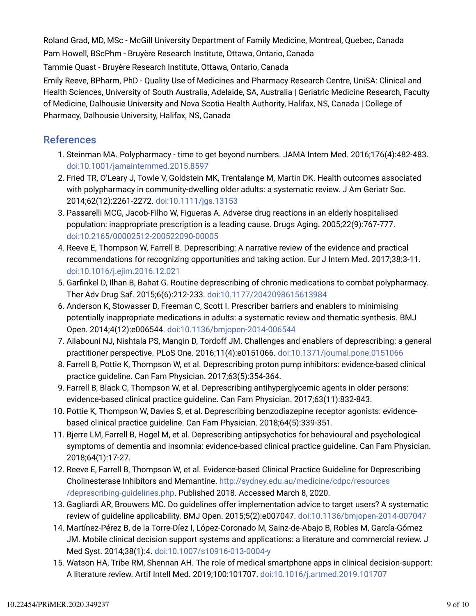Roland Grad, MD, MSc - McGill University Department of Family Medicine, Montreal, Quebec, Canada Pam Howell, BScPhm - Bruyère Research Institute, Ottawa, Ontario, Canada Tammie Quast - Bruyère Research Institute, Ottawa, Ontario, Canada Emily Reeve, BPharm, PhD - Quality Use of Medicines and Pharmacy Research Centre, UniSA: Clinical and

Health Sciences, University of South Australia, Adelaide, SA, Australia | Geriatric Medicine Research, Faculty of Medicine, Dalhousie University and Nova Scotia Health Authority, Halifax, NS, Canada | College of Pharmacy, Dalhousie University, Halifax, NS, Canada

### References

- 1. Steinman MA. Polypharmacy time to get beyond numbers. JAMA Intern Med. 2016;176(4):482-483. doi:10.1001/jamainternmed.2015.8597
- 2. Fried TR, O'Leary J, Towle V, Goldstein MK, Trentalange M, Martin DK. Health outcomes associated with polypharmacy in community-dwelling older adults: a systematic review. J Am Geriatr Soc. 2014;62(12):2261-2272. doi:10.1111/jgs.13153
- 3. Passarelli MCG, Jacob-Filho W, Figueras A. Adverse drug reactions in an elderly hospitalised population: inappropriate prescription is a leading cause. Drugs Aging. 2005;22(9):767-777. doi:10.2165/00002512-200522090-00005
- 4. Reeve E, Thompson W, Farrell B. Deprescribing: A narrative review of the evidence and practical recommendations for recognizing opportunities and taking action. Eur J Intern Med. 2017;38:3-11. doi:10.1016/j.ejim.2016.12.021
- 5. Garfinkel D, Ilhan B, Bahat G. Routine deprescribing of chronic medications to combat polypharmacy. Ther Adv Drug Saf. 2015;6(6):212-233. doi:10.1177/2042098615613984
- 6. Anderson K, Stowasser D, Freeman C, Scott I. Prescriber barriers and enablers to minimising potentially inappropriate medications in adults: a systematic review and thematic synthesis. BMJ Open. 2014;4(12):e006544. doi:10.1136/bmjopen-2014-006544
- 7. Ailabouni NJ, Nishtala PS, Mangin D, Tordoff JM. Challenges and enablers of deprescribing: a general practitioner perspective. PLoS One. 2016;11(4):e0151066. doi:10.1371/journal.pone.0151066
- 8. Farrell B, Pottie K, Thompson W, et al. Deprescribing proton pump inhibitors: evidence-based clinical practice guideline. Can Fam Physician. 2017;63(5):354-364.
- 9. Farrell B, Black C, Thompson W, et al. Deprescribing antihyperglycemic agents in older persons: evidence-based clinical practice guideline. Can Fam Physician. 2017;63(11):832-843.
- 10. Pottie K, Thompson W, Davies S, et al. Deprescribing benzodiazepine receptor agonists: evidencebased clinical practice guideline. Can Fam Physician. 2018;64(5):339-351.
- 11. Bjerre LM, Farrell B, Hogel M, et al. Deprescribing antipsychotics for behavioural and psychological symptoms of dementia and insomnia: evidence-based clinical practice guideline. Can Fam Physician. 2018;64(1):17-27.
- 12. Reeve E, Farrell B, Thompson W, et al. Evidence-based Clinical Practice Guideline for Deprescribing Cholinesterase Inhibitors and Memantine. http://sydney.edu.au/medicine/cdpc/resources /deprescribing-guidelines.php. Published 2018. Accessed March 8, 2020.
- 13. Gagliardi AR, Brouwers MC. Do guidelines offer implementation advice to target users? A systematic review of guideline applicability. BMJ Open. 2015;5(2):e007047. doi:10.1136/bmjopen-2014-007047
- 14. Martínez-Pérez B, de la Torre-Díez I, López-Coronado M, Sainz-de-Abajo B, Robles M, García-Gómez JM. Mobile clinical decision support systems and applications: a literature and commercial review. J Med Syst. 2014;38(1):4. doi:10.1007/s10916-013-0004-y
- 15. Watson HA, Tribe RM, Shennan AH. The role of medical smartphone apps in clinical decision-support: A literature review. Artif Intell Med. 2019;100:101707. doi:10.1016/j.artmed.2019.101707